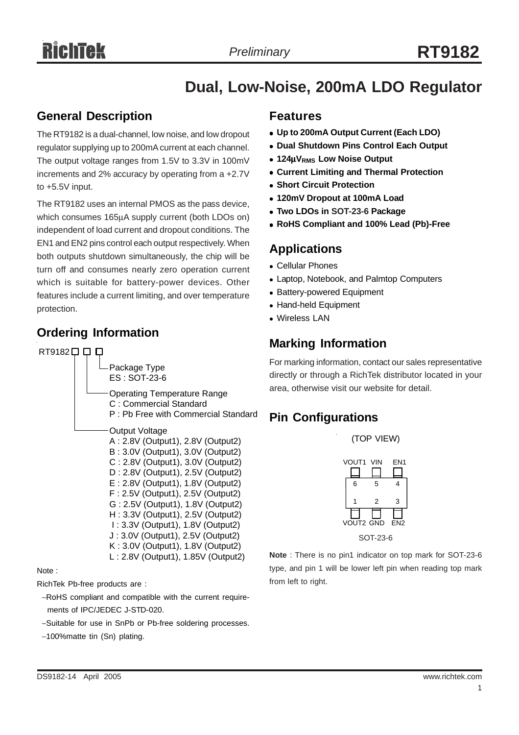# **Dual, Low-Noise, 200mA LDO Regulator**

## **General Description**

The RT9182 is a dual-channel, low noise, and low dropout regulator supplying up to 200mA current at each channel. The output voltage ranges from 1.5V to 3.3V in 100mV increments and 2% accuracy by operating from a +2.7V to +5.5V input.

The RT9182 uses an internal PMOS as the pass device, which consumes 165μA supply current (both LDOs on) independent of load current and dropout conditions. The EN1 and EN2 pins control each output respectively. When both outputs shutdown simultaneously, the chip will be turn off and consumes nearly zero operation current which is suitable for battery-power devices. Other features include a current limiting, and over temperature protection.

# **Ordering Information Marking Information**



Note :

RichTek Pb-free products are :

- −RoHS compliant and compatible with the current require ments of IPC/JEDEC J-STD-020.
- −Suitable for use in SnPb or Pb-free soldering processes.
- −100%matte tin (Sn) plating.

### **Features**

- <sup>z</sup> **Up to 200mA Output Current (Each LDO)**
- **Dual Shutdown Pins Control Each Output**
- $\bullet$  **124μV<sub>RMS</sub>** Low Noise Output
- **Current Limiting and Thermal Protection**
- **Short Circuit Protection**
- **120mV Dropout at 100mA Load**
- **Two LDOs in SOT-23-6 Package**
- <sup>z</sup> **RoHS Compliant and 100% Lead (Pb)-Free**

# **Applications**

- Cellular Phones
- Laptop, Notebook, and Palmtop Computers
- Battery-powered Equipment
- Hand-held Equipment
- Wireless LAN

For marking information, contact our sales representative directly or through a RichTek distributor located in your area, otherwise visit our website for detail.

# **Pin Configurations**



(TOP VIEW)

**Note** : There is no pin1 indicator on top mark for SOT-23-6 type, and pin 1 will be lower left pin when reading top mark from left to right.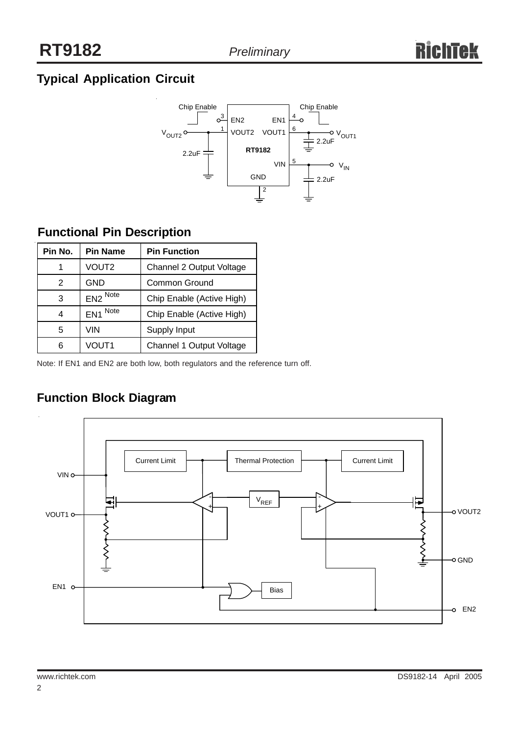# **Typical Application Circuit**



# **Functional Pin Description**

| Pin No. | <b>Pin Name</b>         | <b>Pin Function</b>       |
|---------|-------------------------|---------------------------|
| 1       | VOUT <sub>2</sub>       | Channel 2 Output Voltage  |
| 2       | <b>GND</b>              | <b>Common Ground</b>      |
| 3       | EN2 Note                | Chip Enable (Active High) |
| 4       | Note<br>EN <sub>1</sub> | Chip Enable (Active High) |
| 5       | VIN                     | Supply Input              |
| 6       | VOUT1                   | Channel 1 Output Voltage  |

Note: If EN1 and EN2 are both low, both regulators and the reference turn off.

# **Function Block Diagram**

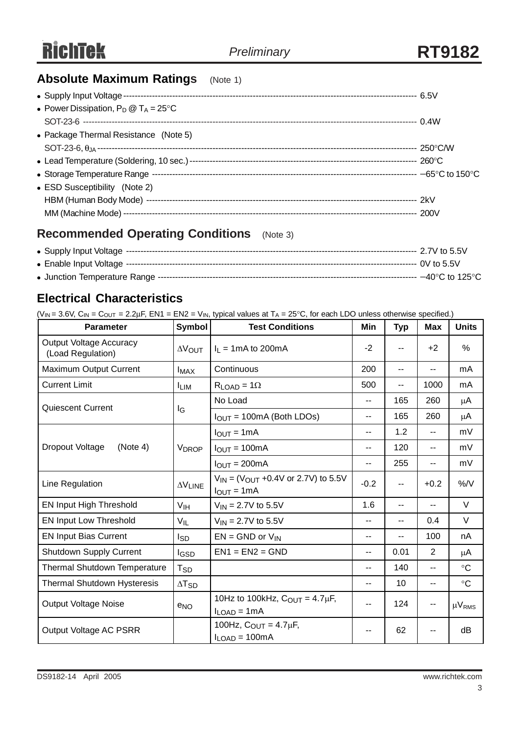# **Absolute Maximum Ratings** (Note 1)

| • Power Dissipation, $P_D @ T_A = 25^{\circ}C$ |  |
|------------------------------------------------|--|
|                                                |  |
| • Package Thermal Resistance (Note 5)          |  |
|                                                |  |
|                                                |  |
|                                                |  |
| • ESD Susceptibility (Note 2)                  |  |
|                                                |  |
|                                                |  |
|                                                |  |

# **Recommended Operating Conditions** (Note 3)

# **Electrical Characteristics**

 $(V_{IN} = 3.6V, C_{IN} = C_{OUT} = 2.2 \mu F, EN1 = EN2 = V_{IN}$ , typical values at  $T_A = 25°C$ , for each LDO unless otherwise specified.)

| <b>Parameter</b>                                    | <b>Symbol</b>              | <b>Test Conditions</b>                                           | Min                      | <b>Typ</b> | <b>Max</b>     | <b>Units</b>  |
|-----------------------------------------------------|----------------------------|------------------------------------------------------------------|--------------------------|------------|----------------|---------------|
| <b>Output Voltage Accuracy</b><br>(Load Regulation) | $\Delta V_{\text{OUT}}$    | $I_L = 1 \text{mA}$ to 200 m A                                   | -2                       | --         | $+2$           | %             |
| <b>Maximum Output Current</b>                       | $I_{MAX}$                  | Continuous                                                       | 200                      | $-$        | $-$            | mA            |
| <b>Current Limit</b>                                | <b>ILIM</b>                | $R_{LOAD} = 1\Omega$                                             | 500                      | $-1$       | 1000           | mA            |
| <b>Quiescent Current</b>                            | lG                         | No Load                                                          | $\overline{\phantom{a}}$ | 165        | 260            | $\mu$ A       |
|                                                     |                            | $I_{OUT} = 100mA$ (Both LDOs)                                    | $\overline{\phantom{a}}$ | 165        | 260            | μA            |
|                                                     |                            | $IOUT = 1mA$                                                     | --                       | 1.2        | $-$            | mV            |
| Dropout Voltage<br>(Note 4)                         | <b>VDROP</b>               | $IOUT = 100mA$                                                   | --                       | 120        | $-$            | mV            |
|                                                     |                            | $IOUT = 200mA$                                                   | --                       | 255        | $-$            | mV            |
| Line Regulation                                     | $\Delta\rm{V}_{\rm{LINE}}$ | $V_{IN}$ = ( $V_{OUT}$ +0.4V or 2.7V) to 5.5V<br>$I_{OUT} = 1mA$ | $-0.2$                   | --         | $+0.2$         | %/V           |
| EN Input High Threshold                             | V <sub>IH</sub>            | $V_{IN} = 2.7V$ to 5.5V                                          | 1.6                      | --         | $-$            | V             |
| <b>EN Input Low Threshold</b>                       | $V_{IL}$                   | $V_{IN} = 2.7V$ to 5.5V                                          | --                       | --         | 0.4            | V             |
| <b>EN Input Bias Current</b>                        | I <sub>SD</sub>            | $EN = GND$ or $V_{IN}$                                           | --                       | $-$        | 100            | nA            |
| <b>Shutdown Supply Current</b>                      | <b>IGSD</b>                | $EN1 = EN2 = GND$                                                | --                       | 0.01       | 2              | $\mu$ A       |
| <b>Thermal Shutdown Temperature</b>                 | Tsp                        |                                                                  | --                       | 140        | $-$            | $\circ$ C     |
| <b>Thermal Shutdown Hysteresis</b>                  | $\Delta$ T <sub>SD</sub>   |                                                                  | --                       | 10         | $\overline{a}$ | $\circ$ C     |
| <b>Output Voltage Noise</b>                         | e <sub>NO</sub>            | 10Hz to 100kHz, $C_{OUT} = 4.7 \mu F$ ,<br>$I_{LOAD} = 1mA$      | --                       | 124        | ۰.             | $\mu V_{RMS}$ |
| Output Voltage AC PSRR                              |                            | 100Hz, $C_{OUT} = 4.7 \mu F$ ,<br>$I_{LOAD} = 100mA$             | --                       | 62         | --             | dB            |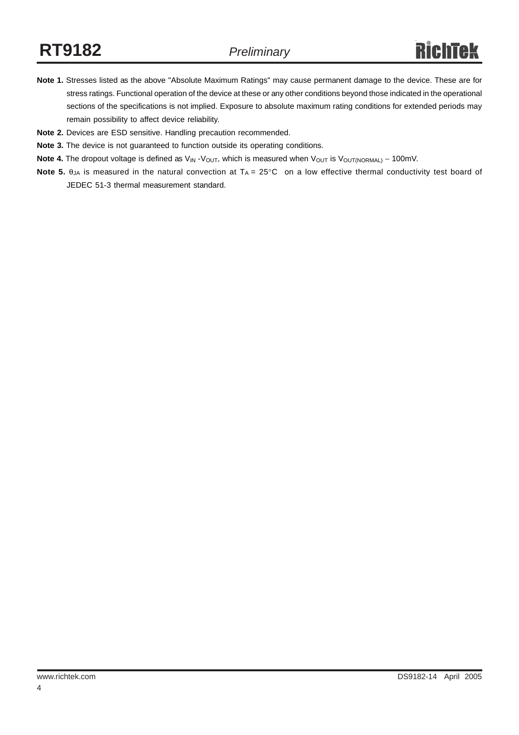- **Note 1.** Stresses listed as the above "Absolute Maximum Ratings" may cause permanent damage to the device. These are for stress ratings. Functional operation of the device at these or any other conditions beyond those indicated in the operational sections of the specifications is not implied. Exposure to absolute maximum rating conditions for extended periods may remain possibility to affect device reliability.
- **Note 2.** Devices are ESD sensitive. Handling precaution recommended.
- **Note 3.** The device is not guaranteed to function outside its operating conditions.
- Note 4. The dropout voltage is defined as V<sub>IN</sub> -V<sub>OUT</sub>, which is measured when V<sub>OUT</sub> is V<sub>OUT(NORMAL)</sub> 100mV.
- **Note 5.**  $\theta_{JA}$  is measured in the natural convection at  $T_A = 25^{\circ}C$  on a low effective thermal conductivity test board of JEDEC 51-3 thermal measurement standard.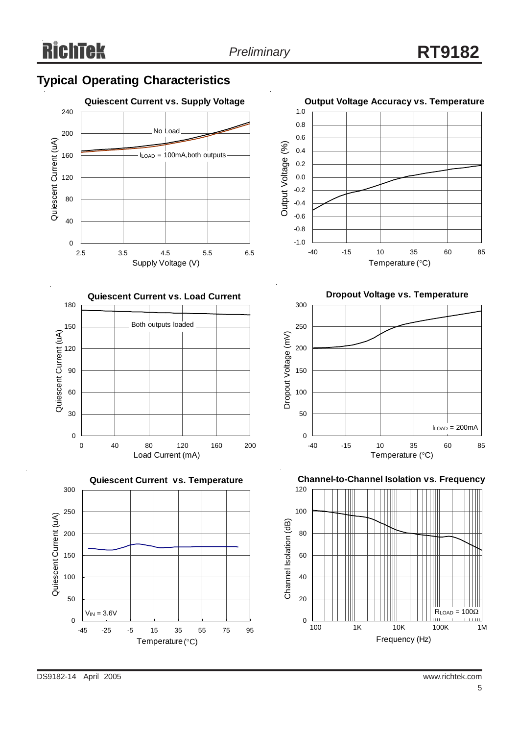# **Typical Operating Characteristics**









**Dropout Voltage vs. Temperature**



**Channel-to-Channel Isolation vs. Frequency**

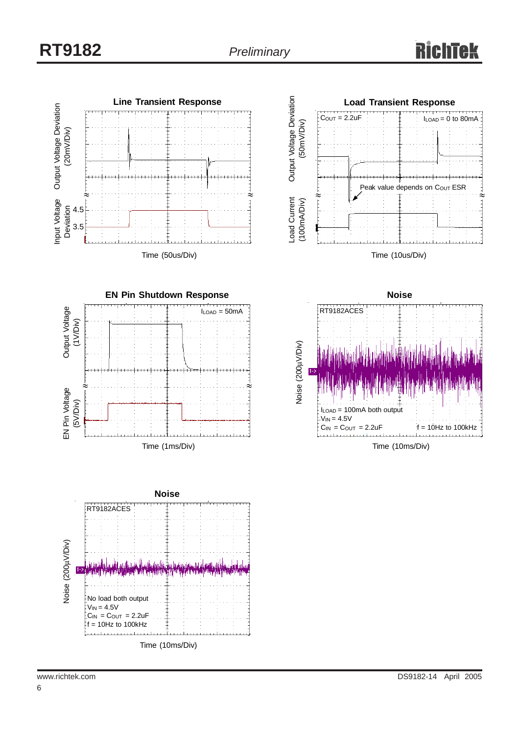









Time (10ms/Div)

6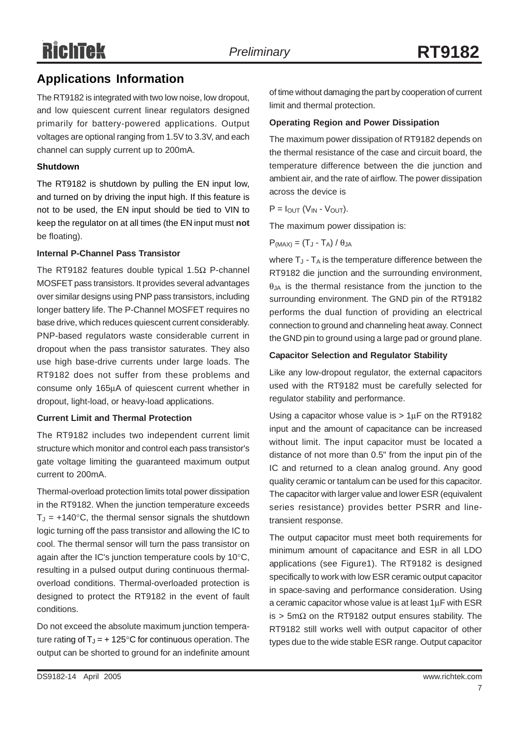# **RichTek**

# **Applications Information**

The RT9182 is integrated with two low noise, low dropout, and low quiescent current linear regulators designed primarily for battery-powered applications. Output voltages are optional ranging from 1.5V to 3.3V, and each channel can supply current up to 200mA.

### **Shutdown**

The RT9182 is shutdown by pulling the EN input low, and turned on by driving the input high. If this feature is not to be used, the EN input should be tied to VIN to keep the regulator on at all times (the EN input must **not** be floating).

### **Internal P-Channel Pass Transistor**

The RT9182 features double typical 1.5Ω P-channel MOSFET pass transistors. It provides several advantages over similar designs using PNP pass transistors, including longer battery life. The P-Channel MOSFET requires no base drive, which reduces quiescent current considerably. PNP-based regulators waste considerable current in dropout when the pass transistor saturates. They also use high base-drive currents under large loads. The RT9182 does not suffer from these problems and consume only 165μA of quiescent current whether in dropout, light-load, or heavy-load applications.

### **Current Limit and Thermal Protection**

The RT9182 includes two independent current limit structure which monitor and control each pass transistor's gate voltage limiting the guaranteed maximum output current to 200mA.

Thermal-overload protection limits total power dissipation in the RT9182. When the junction temperature exceeds  $T_J = +140^{\circ}$ C, the thermal sensor signals the shutdown logic turning off the pass transistor and allowing the IC to cool. The thermal sensor will turn the pass transistor on again after the IC's junction temperature cools by 10°C, resulting in a pulsed output during continuous thermaloverload conditions. Thermal-overloaded protection is designed to protect the RT9182 in the event of fault conditions.

Do not exceed the absolute maximum junction temperature rating of  $T_J = + 125^{\circ}C$  for continuous operation. The output can be shorted to ground for an indefinite amount of time without damaging the part by cooperation of current limit and thermal protection.

### **Operating Region and Power Dissipation**

The maximum power dissipation of RT9182 depends on the thermal resistance of the case and circuit board, the temperature difference between the die junction and ambient air, and the rate of airflow. The power dissipation across the device is

 $P = I_{\text{OUT}} (V_{\text{IN}} - V_{\text{OUT}}).$ 

The maximum power dissipation is:

 $P_{(MAX)} = (T_J - T_A) / \theta_{JA}$ 

where  $T_J$  -  $T_A$  is the temperature difference between the RT9182 die junction and the surrounding environment,  $\theta$ <sub>JA</sub> is the thermal resistance from the junction to the surrounding environment. The GND pin of the RT9182 performs the dual function of providing an electrical connection to ground and channeling heat away. Connect the GND pin to ground using a large pad or ground plane.

### **Capacitor Selection and Regulator Stability**

Like any low-dropout regulator, the external capacitors used with the RT9182 must be carefully selected for regulator stability and performance.

Using a capacitor whose value is  $> 1 \mu$ F on the RT9182 input and the amount of capacitance can be increased without limit. The input capacitor must be located a distance of not more than 0.5" from the input pin of the IC and returned to a clean analog ground. Any good quality ceramic or tantalum can be used for this capacitor. The capacitor with larger value and lower ESR (equivalent series resistance) provides better PSRR and linetransient response.

The output capacitor must meet both requirements for minimum amount of capacitance and ESR in all LDO applications (see Figure1). The RT9182 is designed specifically to work with low ESR ceramic output capacitor in space-saving and performance consideration. Using a ceramic capacitor whose value is at least 1μF with ESR is > 5mΩ on the RT9182 output ensures stability. The RT9182 still works well with output capacitor of other types due to the wide stable ESR range. Output capacitor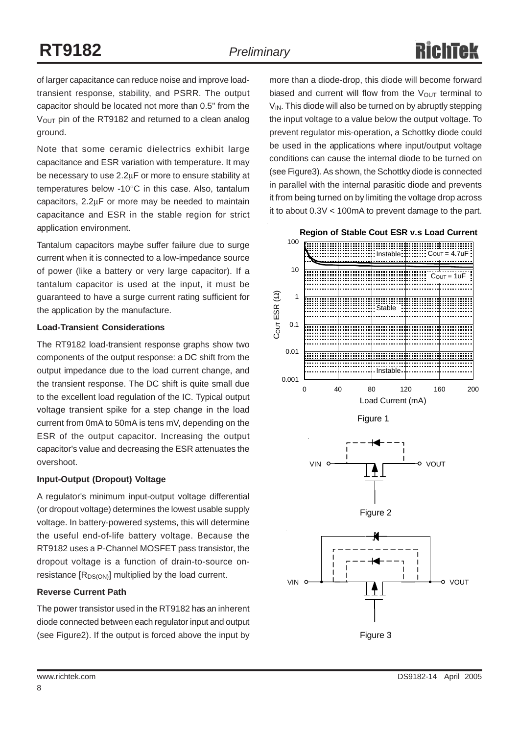of larger capacitance can reduce noise and improve loadtransient response, stability, and PSRR. The output capacitor should be located not more than 0.5" from the V<sub>OUT</sub> pin of the RT9182 and returned to a clean analog ground.

Note that some ceramic dielectrics exhibit large capacitance and ESR variation with temperature. It may be necessary to use 2.2μF or more to ensure stability at temperatures below -10°C in this case. Also, tantalum capacitors, 2.2μF or more may be needed to maintain capacitance and ESR in the stable region for strict application environment.

Tantalum capacitors maybe suffer failure due to surge current when it is connected to a low-impedance source of power (like a battery or very large capacitor). If a tantalum capacitor is used at the input, it must be guaranteed to have a surge current rating sufficient for the application by the manufacture.

### **Load-Transient Considerations**

The RT9182 load-transient response graphs show two components of the output response: a DC shift from the output impedance due to the load current change, and the transient response. The DC shift is quite small due to the excellent load regulation of the IC. Typical output voltage transient spike for a step change in the load current from 0mA to 50mA is tens mV, depending on the ESR of the output capacitor. Increasing the output capacitor's value and decreasing the ESR attenuates the overshoot.

### **Input-Output (Dropout) Voltage**

A regulator's minimum input-output voltage differential (or dropout voltage) determines the lowest usable supply voltage. In battery-powered systems, this will determine the useful end-of-life battery voltage. Because the RT9182 uses a P-Channel MOSFET pass transistor, the dropout voltage is a function of drain-to-source onresistance  $[R_{DS(ON)}]$  multiplied by the load current.

### **Reverse Current Path**

The power transistor used in the RT9182 has an inherent diode connected between each regulator input and output (see Figure2). If the output is forced above the input by

more than a diode-drop, this diode will become forward biased and current will flow from the  $V_{\text{OUT}}$  terminal to  $V_{\text{IN}}$ . This diode will also be turned on by abruptly stepping the input voltage to a value below the output voltage. To prevent regulator mis-operation, a Schottky diode could be used in the applications where input/output voltage conditions can cause the internal diode to be turned on (see Figure3). As shown, the Schottky diode is connected in parallel with the internal parasitic diode and prevents it from being turned on by limiting the voltage drop across it to about 0.3V < 100mA to prevent damage to the part.